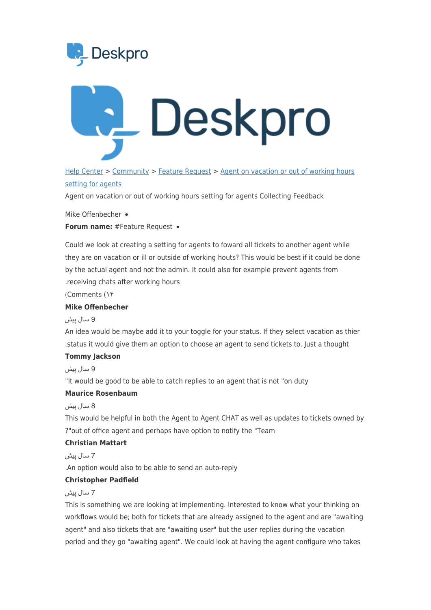



HelpCenter > [Community](https://support.deskpro.com/fa/community) > Feature Request > Agent on vacation or out of working hours setting for agents

Agent on vacation or out of working hours setting for agents Collecting Feedback

Mike Offenbecher •

Forum name: # Feature Request .

Could we look at creating a setting for agents to foward all tickets to another agent while they are on vacation or ill or outside of working houts? This would be best if it could be done by the actual agent and not the admin. It could also for example prevent agents from . receiving chats after working hours

۱۴) Comments(

## **Mike Offenbecher**

### 9 سال پیش

An idea would be maybe add it to your toggle for your status. If they select vacation as thier tatus it would give them an option to choose an agent to send tickets to. Just a thought.

#### **Tommy** Jackson

9 سال پیش

"It would be good to be able to catch replies to an agent that is not "on duty

## **Maurice Rosenbaum**

### 8 سال پیش

This would be helpful in both the Agent to Agent CHAT as well as updates to tickets owned by ?"out of office agent and perhaps have option to notify the "Team

## **Christian Mattart**

7 سال پیش

. An option would also to be able to send an auto-reply

### **Christopher Padfield**

### 7 سال پیش

This is something we are looking at implementing. Interested to know what your thinking on workflows would be; both for tickets that are already assigned to the agent and are "awaiting agent" and also tickets that are "awaiting user" but the user replies during the vacation period and they go "awaiting agent". We could look at having the agent configure who takes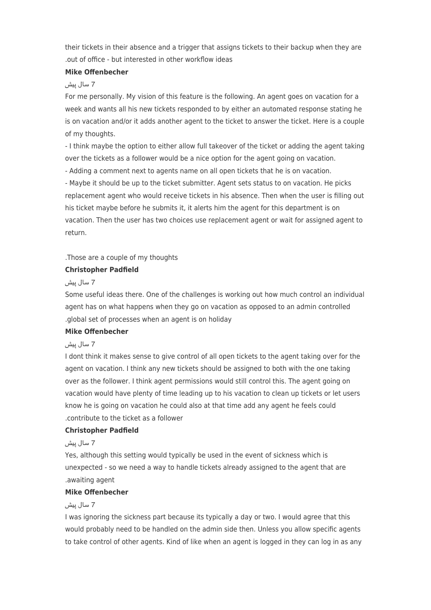their tickets in their absence and a trigger that assigns tickets to their backup when they are out of office - but interested in other workflow ideas

### **Mike Offenbecher**

### 7 سال پیش

For me personally. My vision of this feature is the following. An agent goes on vacation for a week and wants all his new tickets responded to by either an automated response stating he is on vacation and/or it adds another agent to the ticket to answer the ticket. Here is a couple of my thoughts.

- I think maybe the option to either allow full takeover of the ticket or adding the agent taking over the tickets as a follower would be a nice option for the agent going on vacation.

- Adding a comment next to agents name on all open tickets that he is on vacation.

- Maybe it should be up to the ticket submitter. Agent sets status to on vacation. He picks replacement agent who would receive tickets in his absence. Then when the user is filling out his ticket maybe before he submits it, it alerts him the agent for this department is on vacation. Then the user has two choices use replacement agent or wait for assigned agent to return.

. Those are a couple of my thoughts

## **Christopher Padfield**

## 7 سال پیش

Some useful ideas there. One of the challenges is working out how much control an individual agent has on what happens when they go on vacation as opposed to an admin controlled .global set of processes when an agent is on holiday.

### **Mike Offenbecher**

### 7 سال پیش

I dont think it makes sense to give control of all open tickets to the agent taking over for the agent on vacation. I think any new tickets should be assigned to both with the one taking over as the follower. I think agent permissions would still control this. The agent going on vacation would have plenty of time leading up to his vacation to clean up tickets or let users know he is going on vacation he could also at that time add any agent he feels could contribute to the ticket as a follower.

# **Christopher Padfield**

### 7 سال پیش

Yes, although this setting would typically be used in the event of sickness which is unexpected - so we need a way to handle tickets already assigned to the agent that are .awaiting agent

## **Mike Offenbecher**

### 7 سال پیش

I was ignoring the sickness part because its typically a day or two. I would agree that this would probably need to be handled on the admin side then. Unless you allow specific agents to take control of other agents. Kind of like when an agent is logged in they can log in as any